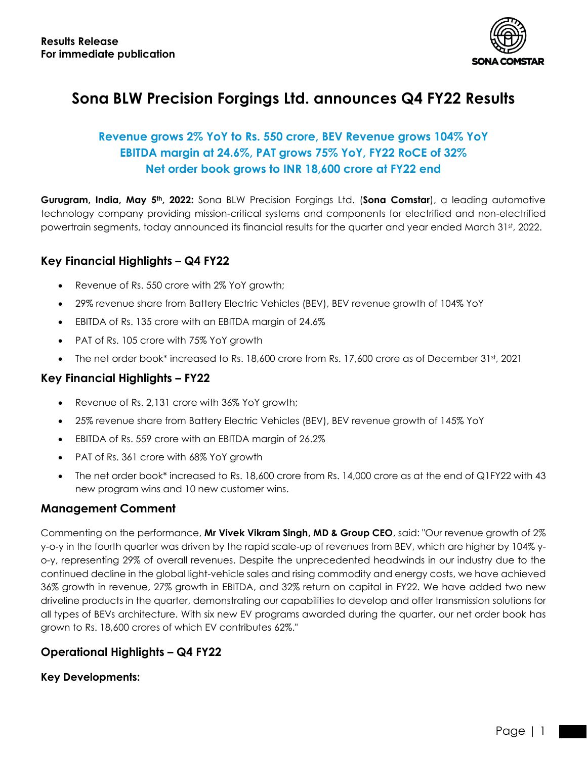

# **Sona BLW Precision Forgings Ltd. announces Q4 FY22 Results**

## **Revenue grows 2% YoY to Rs. 550 crore, BEV Revenue grows 104% YoY EBITDA margin at 24.6%, PAT grows 75% YoY, FY22 RoCE of 32% Net order book grows to INR 18,600 crore at FY22 end**

**Gurugram, India, May 5th, 2022:** Sona BLW Precision Forgings Ltd. (**Sona Comstar**), a leading automotive technology company providing mission-critical systems and components for electrified and non-electrified powertrain segments, today announced its financial results for the quarter and year ended March 31st, 2022.

## **Key Financial Highlights – Q4 FY22**

- Revenue of Rs. 550 crore with 2% YoY growth;
- 29% revenue share from Battery Electric Vehicles (BEV), BEV revenue growth of 104% YoY
- EBITDA of Rs. 135 crore with an EBITDA margin of 24.6%
- PAT of Rs. 105 crore with 75% YoY growth
- The net order book\* increased to Rs. 18,600 crore from Rs. 17,600 crore as of December 31st, 2021

## **Key Financial Highlights – FY22**

- Revenue of Rs. 2,131 crore with 36% YoY growth;
- 25% revenue share from Battery Electric Vehicles (BEV), BEV revenue growth of 145% YoY
- EBITDA of Rs. 559 crore with an EBITDA margin of 26.2%
- PAT of Rs. 361 crore with 68% YoY growth
- The net order book\* increased to Rs. 18,600 crore from Rs. 14,000 crore as at the end of Q1FY22 with 43 new program wins and 10 new customer wins.

#### **Management Comment**

Commenting on the performance, **Mr Vivek Vikram Singh, MD & Group CEO**, said: "Our revenue growth of 2% y-o-y in the fourth quarter was driven by the rapid scale-up of revenues from BEV, which are higher by 104% yo-y, representing 29% of overall revenues. Despite the unprecedented headwinds in our industry due to the continued decline in the global light-vehicle sales and rising commodity and energy costs, we have achieved 36% growth in revenue, 27% growth in EBITDA, and 32% return on capital in FY22. We have added two new driveline products in the quarter, demonstrating our capabilities to develop and offer transmission solutions for all types of BEVs architecture. With six new EV programs awarded during the quarter, our net order book has grown to Rs. 18,600 crores of which EV contributes 62%."

## **Operational Highlights – Q4 FY22**

#### **Key Developments:**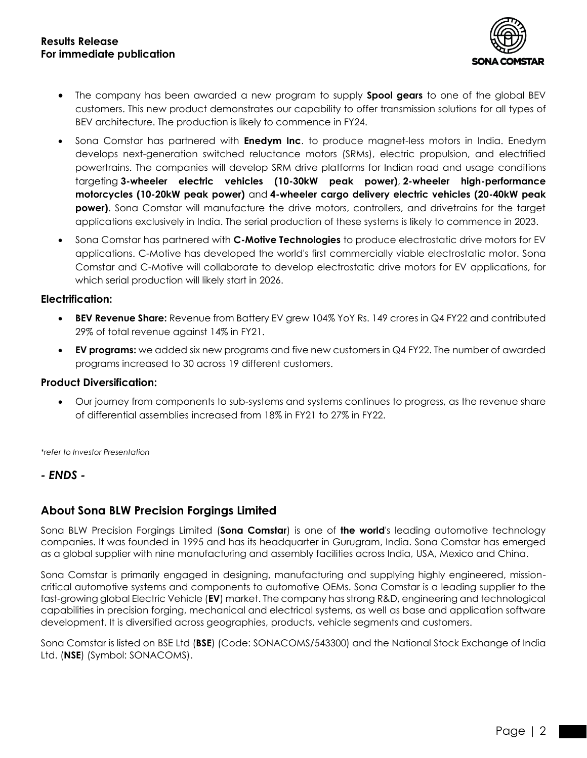

- The company has been awarded a new program to supply **Spool gears** to one of the global BEV customers. This new product demonstrates our capability to offer transmission solutions for all types of BEV architecture. The production is likely to commence in FY24.
- Sona Comstar has partnered with **Enedym Inc**. to produce magnet-less motors in India. Enedym develops next-generation switched reluctance motors (SRMs), electric propulsion, and electrified powertrains. The companies will develop SRM drive platforms for Indian road and usage conditions targeting **3-wheeler electric vehicles (10-30kW peak power)**, **2-wheeler high-performance motorcycles (10-20kW peak power)** and **4-wheeler cargo delivery electric vehicles (20-40kW peak power)**. Sona Comstar will manufacture the drive motors, controllers, and drivetrains for the target applications exclusively in India. The serial production of these systems is likely to commence in 2023.
- Sona Comstar has partnered with **C-Motive Technologies** to produce electrostatic drive motors for EV applications. C-Motive has developed the world's first commercially viable electrostatic motor. Sona Comstar and C-Motive will collaborate to develop electrostatic drive motors for EV applications, for which serial production will likely start in 2026.

#### **Electrification:**

- **BEV Revenue Share:** Revenue from Battery EV grew 104% YoY Rs. 149 crores in Q4 FY22 and contributed 29% of total revenue against 14% in FY21.
- **EV programs:** we added six new programs and five new customers in Q4 FY22. The number of awarded programs increased to 30 across 19 different customers.

#### **Product Diversification:**

• Our journey from components to sub-systems and systems continues to progress, as the revenue share of differential assemblies increased from 18% in FY21 to 27% in FY22.

*\*refer to Investor Presentation*

#### *- ENDS -*

## **About Sona BLW Precision Forgings Limited**

Sona BLW Precision Forgings Limited (**Sona Comstar**) is one of **the world**'s leading automotive technology companies. It was founded in 1995 and has its headquarter in Gurugram, India. Sona Comstar has emerged as a global supplier with nine manufacturing and assembly facilities across India, USA, Mexico and China.

Sona Comstar is primarily engaged in designing, manufacturing and supplying highly engineered, missioncritical automotive systems and components to automotive OEMs. Sona Comstar is a leading supplier to the fast-growing global Electric Vehicle (**EV**) market. The company has strong R&D, engineering and technological capabilities in precision forging, mechanical and electrical systems, as well as base and application software development. It is diversified across geographies, products, vehicle segments and customers.

Sona Comstar is listed on BSE Ltd (**BSE**) (Code: SONACOMS/543300) and the National Stock Exchange of India Ltd. (**NSE**) (Symbol: SONACOMS).